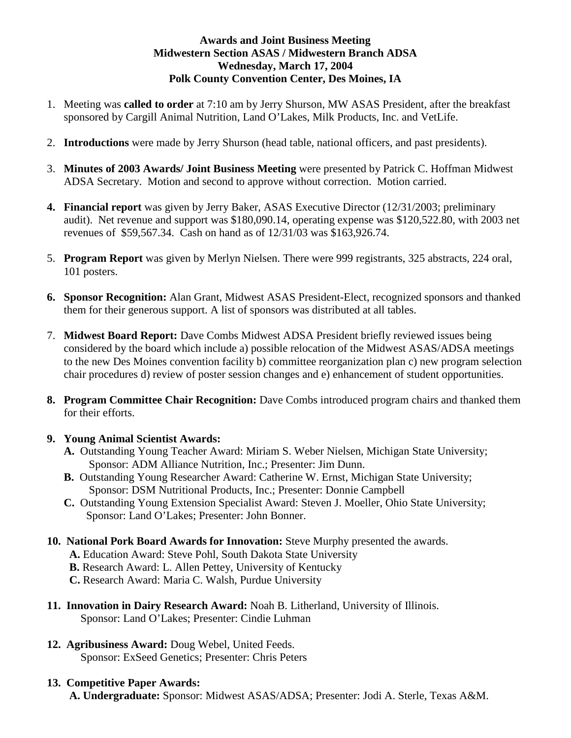## **Awards and Joint Business Meeting Midwestern Section ASAS / Midwestern Branch ADSA Wednesday, March 17, 2004 Polk County Convention Center, Des Moines, IA**

- 1. Meeting was **called to order** at 7:10 am by Jerry Shurson, MW ASAS President, after the breakfast sponsored by Cargill Animal Nutrition, Land O'Lakes, Milk Products, Inc. and VetLife.
- 2. **Introductions** were made by Jerry Shurson (head table, national officers, and past presidents).
- 3. **Minutes of 2003 Awards/ Joint Business Meeting** were presented by Patrick C. Hoffman Midwest ADSA Secretary. Motion and second to approve without correction. Motion carried.
- **4. Financial report** was given by Jerry Baker, ASAS Executive Director (12/31/2003; preliminary audit). Net revenue and support was \$180,090.14, operating expense was \$120,522.80, with 2003 net revenues of \$59,567.34. Cash on hand as of 12/31/03 was \$163,926.74.
- 5. **Program Report** was given by Merlyn Nielsen. There were 999 registrants, 325 abstracts, 224 oral, 101 posters.
- **6. Sponsor Recognition:** Alan Grant, Midwest ASAS President-Elect, recognized sponsors and thanked them for their generous support. A list of sponsors was distributed at all tables.
- 7. **Midwest Board Report:** Dave Combs Midwest ADSA President briefly reviewed issues being considered by the board which include a) possible relocation of the Midwest ASAS/ADSA meetings to the new Des Moines convention facility b) committee reorganization plan c) new program selection chair procedures d) review of poster session changes and e) enhancement of student opportunities.
- **8. Program Committee Chair Recognition:** Dave Combs introduced program chairs and thanked them for their efforts.

## **9. Young Animal Scientist Awards:**

- **A.** Outstanding Young Teacher Award: [Miriam S. Weber Nielsen,](http://www.fass.org/memdir/memberinfo.asp?ID=29841&belongsto=ADSA) Michigan State University; Sponsor: ADM Alliance Nutrition, Inc.; Presenter: Jim Dunn.
- **B.** Outstanding Young Researcher Award: Catherine W. Ernst, Michigan State University; Sponsor: DSM Nutritional Products, Inc.; Presenter: Donnie Campbell
- **C.** Outstanding Young Extension Specialist Award: Steven J. Moeller, Ohio State University; Sponsor: Land O'Lakes; Presenter: John Bonner.
- **10. National Pork Board Awards for Innovation:** Steve Murphy presented the awards.
	- **A.** Education Award: Steve Pohl, South Dakota State University
	- **B.** Research Award: L. Allen Pettey, University of Kentucky
	- **C.** Research Award: Maria C. Walsh, Purdue University
- **11. Innovation in Dairy Research Award:** Noah B. Litherland, University of Illinois. Sponsor: Land O'Lakes; Presenter: Cindie Luhman
- **12. Agribusiness Award:** Doug Webel, United Feeds. Sponsor: ExSeed Genetics; Presenter: Chris Peters

## **13. Competitive Paper Awards:**

 **A. Undergraduate:** Sponsor: Midwest ASAS/ADSA; Presenter: Jodi A. Sterle, Texas A&M.